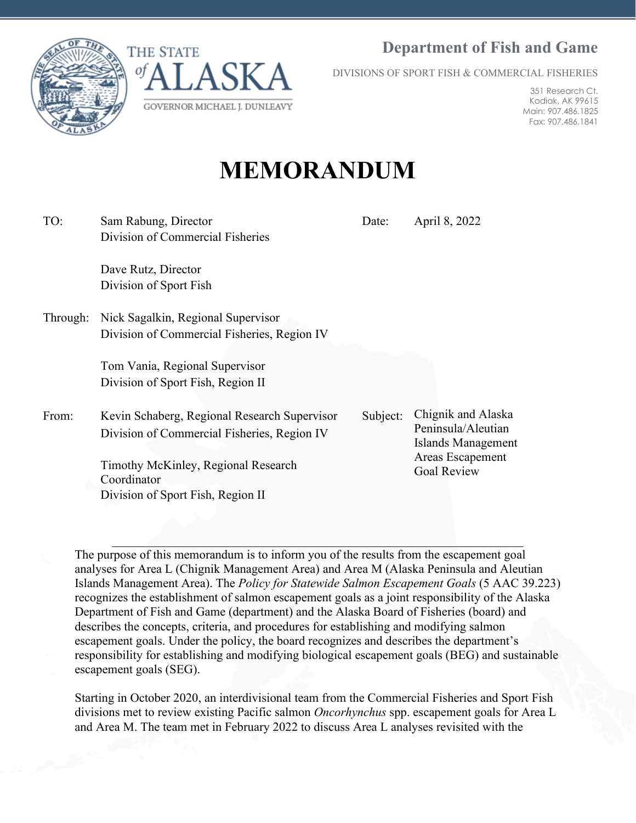**Department of Fish and Game**





DIVISIONS OF SPORT FISH & COMMERCIAL FISHERIES

351 Research Ct. Kodiak, AK 99615 Main: 907.486.1825 Fax: 907.486.1841

# **MEMORANDUM**

| TO:      | Sam Rabung, Director                               | Date:    | April 8, 2022                                                                      |  |  |
|----------|----------------------------------------------------|----------|------------------------------------------------------------------------------------|--|--|
|          | Division of Commercial Fisheries                   |          |                                                                                    |  |  |
|          | Dave Rutz, Director                                |          |                                                                                    |  |  |
|          | Division of Sport Fish                             |          |                                                                                    |  |  |
| Through: | Nick Sagalkin, Regional Supervisor                 |          |                                                                                    |  |  |
|          | Division of Commercial Fisheries, Region IV        |          |                                                                                    |  |  |
|          | Tom Vania, Regional Supervisor                     |          |                                                                                    |  |  |
|          | Division of Sport Fish, Region II                  |          |                                                                                    |  |  |
|          |                                                    |          |                                                                                    |  |  |
| From:    | Kevin Schaberg, Regional Research Supervisor       | Subject: | Chignik and Alaska                                                                 |  |  |
|          | Division of Commercial Fisheries, Region IV        |          | Peninsula/Aleutian<br>Islands Management<br>Areas Escapement<br><b>Goal Review</b> |  |  |
|          | Timothy McKinley, Regional Research<br>Coordinator |          |                                                                                    |  |  |
|          | Division of Sport Fish, Region II                  |          |                                                                                    |  |  |

The purpose of this memorandum is to inform you of the results from the escapement goal analyses for Area L (Chignik Management Area) and Area M (Alaska Peninsula and Aleutian Islands Management Area). The *Policy for Statewide Salmon Escapement Goals* (5 AAC 39.223) recognizes the establishment of salmon escapement goals as a joint responsibility of the Alaska Department of Fish and Game (department) and the Alaska Board of Fisheries (board) and describes the concepts, criteria, and procedures for establishing and modifying salmon escapement goals. Under the policy, the board recognizes and describes the department's responsibility for establishing and modifying biological escapement goals (BEG) and sustainable escapement goals (SEG).

Starting in October 2020, an interdivisional team from the Commercial Fisheries and Sport Fish divisions met to review existing Pacific salmon *Oncorhynchus* spp. escapement goals for Area L and Area M. The team met in February 2022 to discuss Area L analyses revisited with the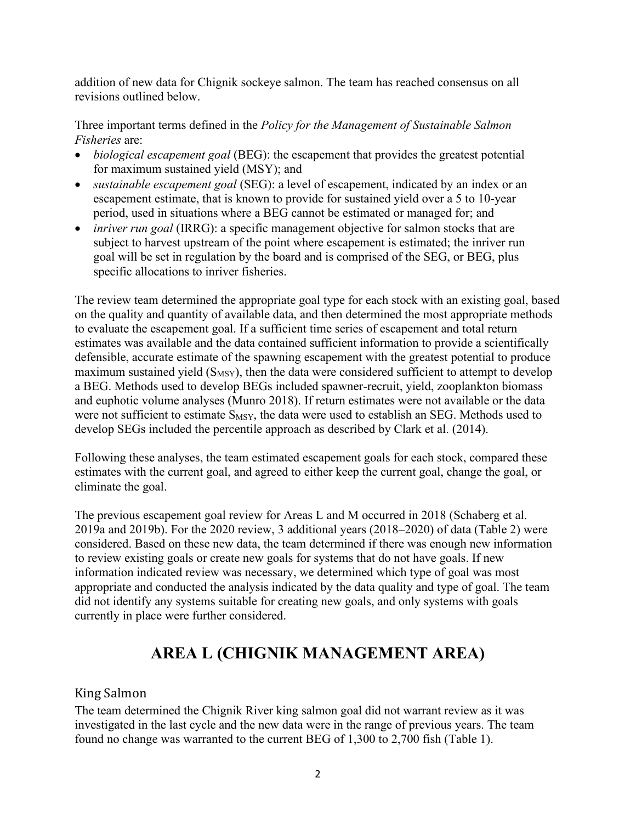addition of new data for Chignik sockeye salmon. The team has reached consensus on all revisions outlined below.

Three important terms defined in the *Policy for the Management of Sustainable Salmon Fisheries* are:

- *biological escapement goal* (BEG): the escapement that provides the greatest potential for maximum sustained yield (MSY); and
- *sustainable escapement goal* (SEG): a level of escapement, indicated by an index or an escapement estimate, that is known to provide for sustained yield over a 5 to 10-year period, used in situations where a BEG cannot be estimated or managed for; and
- *inriver run goal* (IRRG): a specific management objective for salmon stocks that are subject to harvest upstream of the point where escapement is estimated; the inriver run goal will be set in regulation by the board and is comprised of the SEG, or BEG, plus specific allocations to inriver fisheries.

The review team determined the appropriate goal type for each stock with an existing goal, based on the quality and quantity of available data, and then determined the most appropriate methods to evaluate the escapement goal. If a sufficient time series of escapement and total return estimates was available and the data contained sufficient information to provide a scientifically defensible, accurate estimate of the spawning escapement with the greatest potential to produce maximum sustained yield  $(S_{MSY})$ , then the data were considered sufficient to attempt to develop a BEG. Methods used to develop BEGs included spawner-recruit, yield, zooplankton biomass and euphotic volume analyses (Munro 2018). If return estimates were not available or the data were not sufficient to estimate S<sub>MSY</sub>, the data were used to establish an SEG. Methods used to develop SEGs included the percentile approach as described by Clark et al. (2014).

Following these analyses, the team estimated escapement goals for each stock, compared these estimates with the current goal, and agreed to either keep the current goal, change the goal, or eliminate the goal.

The previous escapement goal review for Areas L and M occurred in 2018 (Schaberg et al. 2019a and 2019b). For the 2020 review, 3 additional years (2018–2020) of data (Table 2) were considered. Based on these new data, the team determined if there was enough new information to review existing goals or create new goals for systems that do not have goals. If new information indicated review was necessary, we determined which type of goal was most appropriate and conducted the analysis indicated by the data quality and type of goal. The team did not identify any systems suitable for creating new goals, and only systems with goals currently in place were further considered.

# **AREA L (CHIGNIK MANAGEMENT AREA)**

# King Salmon

The team determined the Chignik River king salmon goal did not warrant review as it was investigated in the last cycle and the new data were in the range of previous years. The team found no change was warranted to the current BEG of 1,300 to 2,700 fish (Table 1).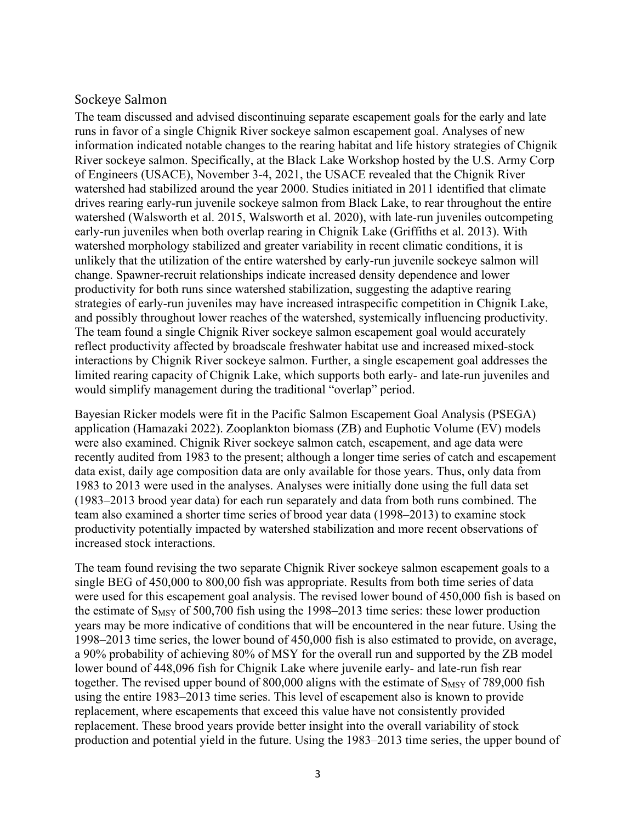#### Sockeye Salmon

The team discussed and advised discontinuing separate escapement goals for the early and late runs in favor of a single Chignik River sockeye salmon escapement goal. Analyses of new information indicated notable changes to the rearing habitat and life history strategies of Chignik River sockeye salmon. Specifically, at the Black Lake Workshop hosted by the U.S. Army Corp of Engineers (USACE), November 3-4, 2021, the USACE revealed that the Chignik River watershed had stabilized around the year 2000. Studies initiated in 2011 identified that climate drives rearing early-run juvenile sockeye salmon from Black Lake, to rear throughout the entire watershed (Walsworth et al. 2015, Walsworth et al. 2020), with late-run juveniles outcompeting early-run juveniles when both overlap rearing in Chignik Lake (Griffiths et al. 2013). With watershed morphology stabilized and greater variability in recent climatic conditions, it is unlikely that the utilization of the entire watershed by early-run juvenile sockeye salmon will change. Spawner-recruit relationships indicate increased density dependence and lower productivity for both runs since watershed stabilization, suggesting the adaptive rearing strategies of early-run juveniles may have increased intraspecific competition in Chignik Lake, and possibly throughout lower reaches of the watershed, systemically influencing productivity. The team found a single Chignik River sockeye salmon escapement goal would accurately reflect productivity affected by broadscale freshwater habitat use and increased mixed-stock interactions by Chignik River sockeye salmon. Further, a single escapement goal addresses the limited rearing capacity of Chignik Lake, which supports both early- and late-run juveniles and would simplify management during the traditional "overlap" period.

Bayesian Ricker models were fit in the Pacific Salmon Escapement Goal Analysis (PSEGA) application (Hamazaki 2022). Zooplankton biomass (ZB) and Euphotic Volume (EV) models were also examined. Chignik River sockeye salmon catch, escapement, and age data were recently audited from 1983 to the present; although a longer time series of catch and escapement data exist, daily age composition data are only available for those years. Thus, only data from 1983 to 2013 were used in the analyses. Analyses were initially done using the full data set (1983–2013 brood year data) for each run separately and data from both runs combined. The team also examined a shorter time series of brood year data (1998–2013) to examine stock productivity potentially impacted by watershed stabilization and more recent observations of increased stock interactions.

The team found revising the two separate Chignik River sockeye salmon escapement goals to a single BEG of 450,000 to 800,00 fish was appropriate. Results from both time series of data were used for this escapement goal analysis. The revised lower bound of 450,000 fish is based on the estimate of  $S_{MSY}$  of 500,700 fish using the 1998–2013 time series: these lower production years may be more indicative of conditions that will be encountered in the near future. Using the 1998–2013 time series, the lower bound of 450,000 fish is also estimated to provide, on average, a 90% probability of achieving 80% of MSY for the overall run and supported by the ZB model lower bound of 448,096 fish for Chignik Lake where juvenile early- and late-run fish rear together. The revised upper bound of 800,000 aligns with the estimate of  $S_{MSY}$  of 789,000 fish using the entire 1983–2013 time series. This level of escapement also is known to provide replacement, where escapements that exceed this value have not consistently provided replacement. These brood years provide better insight into the overall variability of stock production and potential yield in the future. Using the 1983–2013 time series, the upper bound of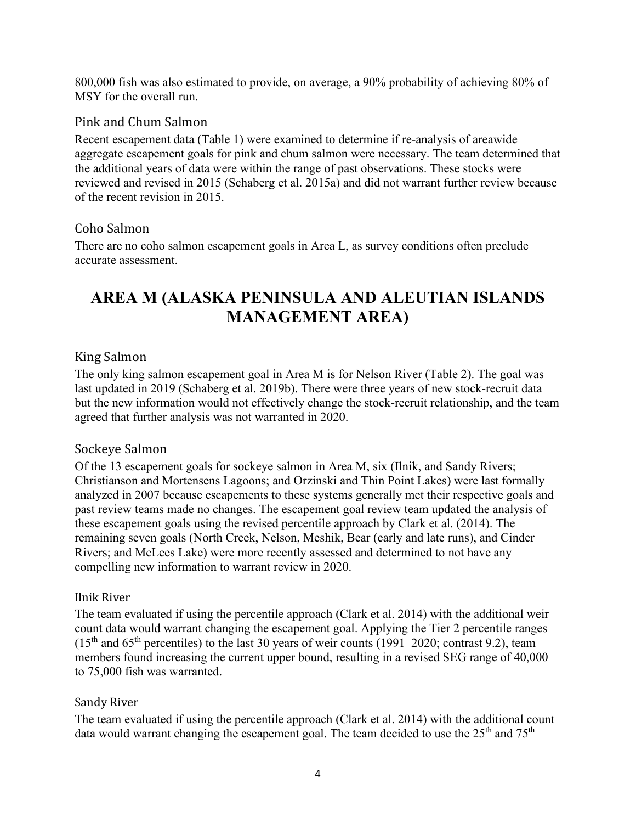800,000 fish was also estimated to provide, on average, a 90% probability of achieving 80% of MSY for the overall run.

## Pink and Chum Salmon

Recent escapement data (Table 1) were examined to determine if re-analysis of areawide aggregate escapement goals for pink and chum salmon were necessary. The team determined that the additional years of data were within the range of past observations. These stocks were reviewed and revised in 2015 (Schaberg et al. 2015a) and did not warrant further review because of the recent revision in 2015.

### Coho Salmon

There are no coho salmon escapement goals in Area L, as survey conditions often preclude accurate assessment.

# **AREA M (ALASKA PENINSULA AND ALEUTIAN ISLANDS MANAGEMENT AREA)**

# King Salmon

The only king salmon escapement goal in Area M is for Nelson River (Table 2). The goal was last updated in 2019 (Schaberg et al. 2019b). There were three years of new stock-recruit data but the new information would not effectively change the stock-recruit relationship, and the team agreed that further analysis was not warranted in 2020.

#### Sockeye Salmon

Of the 13 escapement goals for sockeye salmon in Area M, six (Ilnik, and Sandy Rivers; Christianson and Mortensens Lagoons; and Orzinski and Thin Point Lakes) were last formally analyzed in 2007 because escapements to these systems generally met their respective goals and past review teams made no changes. The escapement goal review team updated the analysis of these escapement goals using the revised percentile approach by Clark et al. (2014). The remaining seven goals (North Creek, Nelson, Meshik, Bear (early and late runs), and Cinder Rivers; and McLees Lake) were more recently assessed and determined to not have any compelling new information to warrant review in 2020.

#### Ilnik River

The team evaluated if using the percentile approach (Clark et al. 2014) with the additional weir count data would warrant changing the escapement goal. Applying the Tier 2 percentile ranges  $(15<sup>th</sup>$  and 65<sup>th</sup> percentiles) to the last 30 years of weir counts (1991–2020; contrast 9.2), team members found increasing the current upper bound, resulting in a revised SEG range of 40,000 to 75,000 fish was warranted.

# Sandy River

The team evaluated if using the percentile approach (Clark et al. 2014) with the additional count data would warrant changing the escapement goal. The team decided to use the  $25<sup>th</sup>$  and  $75<sup>th</sup>$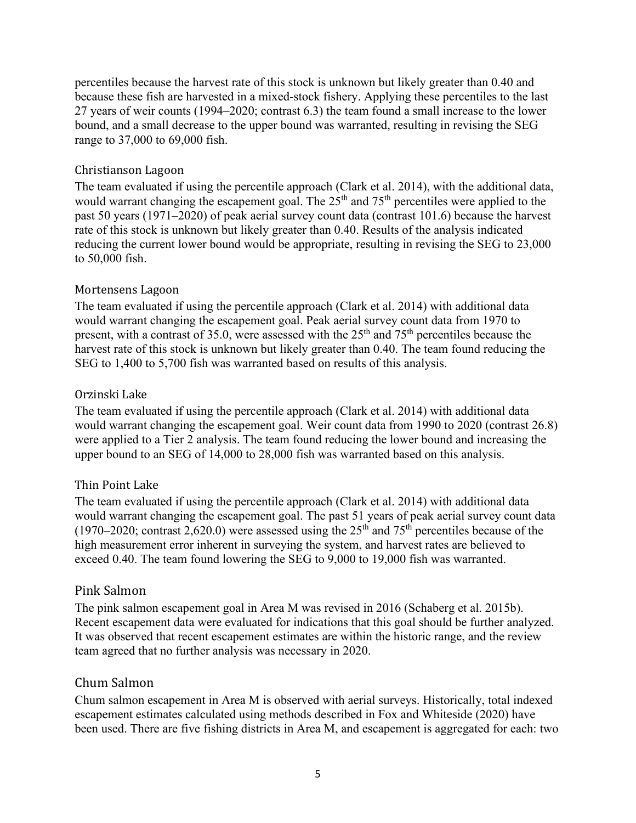percentiles because the harvest rate of this stock is unknown but likely greater than 0.40 and because these fish are harvested in a mixed-stock fishery. Applying these percentiles to the last 27 years of weir counts (1994–2020; contrast 6.3) the team found a small increase to the lower bound, and a small decrease to the upper bound was warranted, resulting in revising the SEG range to 37,000 to 69,000 fish.

#### Christianson Lagoon

The team evaluated if using the percentile approach (Clark et al. 2014), with the additional data, would warrant changing the escapement goal. The  $25<sup>th</sup>$  and  $75<sup>th</sup>$  percentiles were applied to the past 50 years (1971–2020) of peak aerial survey count data (contrast 101.6) because the harvest rate of this stock is unknown but likely greater than 0.40. Results of the analysis indicated reducing the current lower bound would be appropriate, resulting in revising the SEG to 23,000 to 50,000 fish.

#### Mortensens Lagoon

The team evaluated if using the percentile approach (Clark et al. 2014) with additional data would warrant changing the escapement goal. Peak aerial survey count data from 1970 to present, with a contrast of 35.0, were assessed with the  $25<sup>th</sup>$  and  $75<sup>th</sup>$  percentiles because the harvest rate of this stock is unknown but likely greater than 0.40. The team found reducing the SEG to 1,400 to 5,700 fish was warranted based on results of this analysis.

#### Orzinski Lake

The team evaluated if using the percentile approach (Clark et al. 2014) with additional data would warrant changing the escapement goal. Weir count data from 1990 to 2020 (contrast 26.8) were applied to a Tier 2 analysis. The team found reducing the lower bound and increasing the upper bound to an SEG of 14,000 to 28,000 fish was warranted based on this analysis.

#### Thin Point Lake

The team evaluated if using the percentile approach (Clark et al. 2014) with additional data would warrant changing the escapement goal. The past 51 years of peak aerial survey count data (1970–2020; contrast 2,620.0) were assessed using the  $25<sup>th</sup>$  and  $75<sup>th</sup>$  percentiles because of the high measurement error inherent in surveying the system, and harvest rates are believed to exceed 0.40. The team found lowering the SEG to 9,000 to 19,000 fish was warranted.

#### Pink Salmon

The pink salmon escapement goal in Area M was revised in 2016 (Schaberg et al. 2015b). Recent escapement data were evaluated for indications that this goal should be further analyzed. It was observed that recent escapement estimates are within the historic range, and the review team agreed that no further analysis was necessary in 2020.

#### Chum Salmon

Chum salmon escapement in Area M is observed with aerial surveys. Historically, total indexed escapement estimates calculated using methods described in Fox and Whiteside (2020) have been used. There are five fishing districts in Area M, and escapement is aggregated for each: two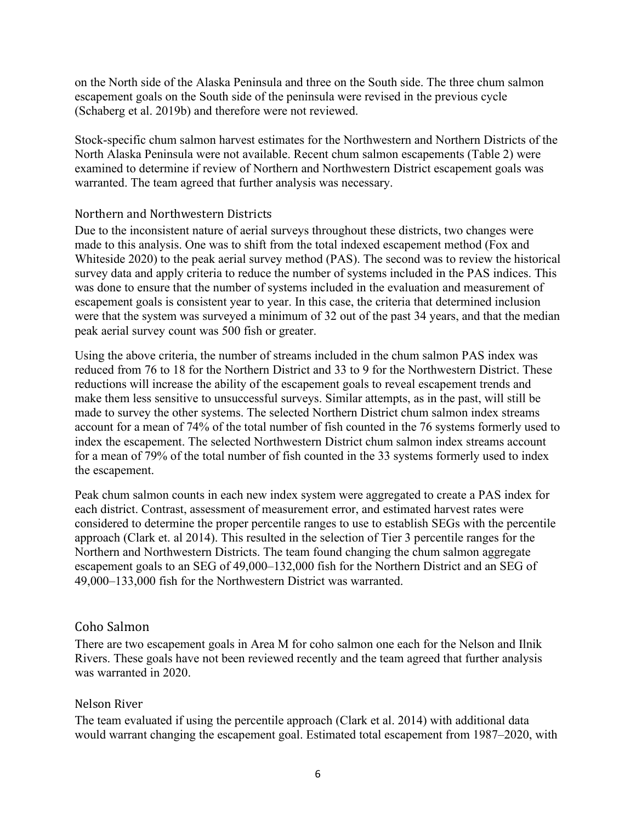on the North side of the Alaska Peninsula and three on the South side. The three chum salmon escapement goals on the South side of the peninsula were revised in the previous cycle (Schaberg et al. 2019b) and therefore were not reviewed.

Stock-specific chum salmon harvest estimates for the Northwestern and Northern Districts of the North Alaska Peninsula were not available. Recent chum salmon escapements (Table 2) were examined to determine if review of Northern and Northwestern District escapement goals was warranted. The team agreed that further analysis was necessary.

#### Northern and Northwestern Districts

Due to the inconsistent nature of aerial surveys throughout these districts, two changes were made to this analysis. One was to shift from the total indexed escapement method (Fox and Whiteside 2020) to the peak aerial survey method (PAS). The second was to review the historical survey data and apply criteria to reduce the number of systems included in the PAS indices. This was done to ensure that the number of systems included in the evaluation and measurement of escapement goals is consistent year to year. In this case, the criteria that determined inclusion were that the system was surveyed a minimum of 32 out of the past 34 years, and that the median peak aerial survey count was 500 fish or greater.

Using the above criteria, the number of streams included in the chum salmon PAS index was reduced from 76 to 18 for the Northern District and 33 to 9 for the Northwestern District. These reductions will increase the ability of the escapement goals to reveal escapement trends and make them less sensitive to unsuccessful surveys. Similar attempts, as in the past, will still be made to survey the other systems. The selected Northern District chum salmon index streams account for a mean of 74% of the total number of fish counted in the 76 systems formerly used to index the escapement. The selected Northwestern District chum salmon index streams account for a mean of 79% of the total number of fish counted in the 33 systems formerly used to index the escapement.

Peak chum salmon counts in each new index system were aggregated to create a PAS index for each district. Contrast, assessment of measurement error, and estimated harvest rates were considered to determine the proper percentile ranges to use to establish SEGs with the percentile approach (Clark et. al 2014). This resulted in the selection of Tier 3 percentile ranges for the Northern and Northwestern Districts. The team found changing the chum salmon aggregate escapement goals to an SEG of 49,000–132,000 fish for the Northern District and an SEG of 49,000–133,000 fish for the Northwestern District was warranted.

#### Coho Salmon

There are two escapement goals in Area M for coho salmon one each for the Nelson and Ilnik Rivers. These goals have not been reviewed recently and the team agreed that further analysis was warranted in 2020.

#### Nelson River

The team evaluated if using the percentile approach (Clark et al. 2014) with additional data would warrant changing the escapement goal. Estimated total escapement from 1987–2020, with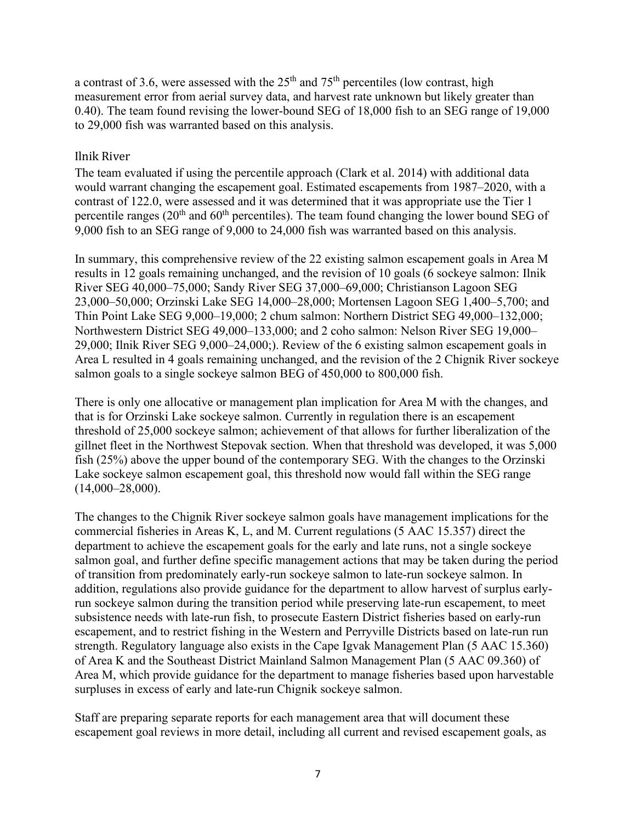a contrast of 3.6, were assessed with the  $25<sup>th</sup>$  and  $75<sup>th</sup>$  percentiles (low contrast, high measurement error from aerial survey data, and harvest rate unknown but likely greater than 0.40). The team found revising the lower-bound SEG of 18,000 fish to an SEG range of 19,000 to 29,000 fish was warranted based on this analysis.

#### Ilnik River

The team evaluated if using the percentile approach (Clark et al. 2014) with additional data would warrant changing the escapement goal. Estimated escapements from 1987–2020, with a contrast of 122.0, were assessed and it was determined that it was appropriate use the Tier 1 percentile ranges  $(20<sup>th</sup>$  and  $60<sup>th</sup>$  percentiles). The team found changing the lower bound SEG of 9,000 fish to an SEG range of 9,000 to 24,000 fish was warranted based on this analysis.

In summary, this comprehensive review of the 22 existing salmon escapement goals in Area M results in 12 goals remaining unchanged, and the revision of 10 goals (6 sockeye salmon: Ilnik River SEG 40,000–75,000; Sandy River SEG 37,000–69,000; Christianson Lagoon SEG 23,000–50,000; Orzinski Lake SEG 14,000–28,000; Mortensen Lagoon SEG 1,400–5,700; and Thin Point Lake SEG 9,000–19,000; 2 chum salmon: Northern District SEG 49,000–132,000; Northwestern District SEG 49,000–133,000; and 2 coho salmon: Nelson River SEG 19,000– 29,000; Ilnik River SEG 9,000–24,000;). Review of the 6 existing salmon escapement goals in Area L resulted in 4 goals remaining unchanged, and the revision of the 2 Chignik River sockeye salmon goals to a single sockeye salmon BEG of 450,000 to 800,000 fish.

There is only one allocative or management plan implication for Area M with the changes, and that is for Orzinski Lake sockeye salmon. Currently in regulation there is an escapement threshold of 25,000 sockeye salmon; achievement of that allows for further liberalization of the gillnet fleet in the Northwest Stepovak section. When that threshold was developed, it was 5,000 fish (25%) above the upper bound of the contemporary SEG. With the changes to the Orzinski Lake sockeye salmon escapement goal, this threshold now would fall within the SEG range (14,000–28,000).

The changes to the Chignik River sockeye salmon goals have management implications for the commercial fisheries in Areas K, L, and M. Current regulations (5 AAC 15.357) direct the department to achieve the escapement goals for the early and late runs, not a single sockeye salmon goal, and further define specific management actions that may be taken during the period of transition from predominately early-run sockeye salmon to late-run sockeye salmon. In addition, regulations also provide guidance for the department to allow harvest of surplus earlyrun sockeye salmon during the transition period while preserving late-run escapement, to meet subsistence needs with late-run fish, to prosecute Eastern District fisheries based on early-run escapement, and to restrict fishing in the Western and Perryville Districts based on late-run run strength. Regulatory language also exists in the Cape Igvak Management Plan (5 AAC 15.360) of Area K and the Southeast District Mainland Salmon Management Plan (5 AAC 09.360) of Area M, which provide guidance for the department to manage fisheries based upon harvestable surpluses in excess of early and late-run Chignik sockeye salmon.

Staff are preparing separate reports for each management area that will document these escapement goal reviews in more detail, including all current and revised escapement goals, as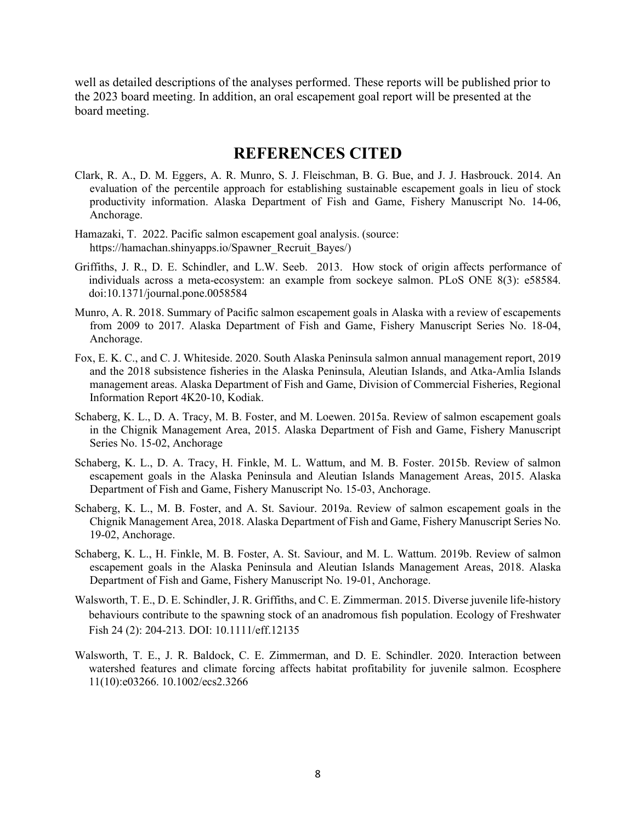well as detailed descriptions of the analyses performed. These reports will be published prior to the 2023 board meeting. In addition, an oral escapement goal report will be presented at the board meeting.

# **REFERENCES CITED**

- Clark, R. A., D. M. Eggers, A. R. Munro, S. J. Fleischman, B. G. Bue, and J. J. Hasbrouck. 2014. An evaluation of the percentile approach for establishing sustainable escapement goals in lieu of stock productivity information. Alaska Department of Fish and Game, Fishery Manuscript No. 14-06, Anchorage.
- Hamazaki, T. 2022. Pacific salmon escapement goal analysis. (source: https://hamachan.shinyapps.io/Spawner\_Recruit\_Bayes/)
- Griffiths, J. R., D. E. Schindler, and L.W. Seeb. 2013. How stock of origin affects performance of individuals across a meta-ecosystem: an example from sockeye salmon. PLoS ONE 8(3): e58584. doi:10.1371/journal.pone.0058584
- Munro, A. R. 2018. Summary of Pacific salmon escapement goals in Alaska with a review of escapements from 2009 to 2017. Alaska Department of Fish and Game, Fishery Manuscript Series No. 18-04, Anchorage.
- Fox, E. K. C., and C. J. Whiteside. 2020. South Alaska Peninsula salmon annual management report, 2019 and the 2018 subsistence fisheries in the Alaska Peninsula, Aleutian Islands, and Atka-Amlia Islands management areas. Alaska Department of Fish and Game, Division of Commercial Fisheries, Regional Information Report 4K20-10, Kodiak.
- Schaberg, K. L., D. A. Tracy, M. B. Foster, and M. Loewen. 2015a. Review of salmon escapement goals in the Chignik Management Area, 2015. Alaska Department of Fish and Game, Fishery Manuscript Series No. 15-02, Anchorage
- Schaberg, K. L., D. A. Tracy, H. Finkle, M. L. Wattum, and M. B. Foster. 2015b. Review of salmon escapement goals in the Alaska Peninsula and Aleutian Islands Management Areas, 2015. Alaska Department of Fish and Game, Fishery Manuscript No. 15-03, Anchorage.
- Schaberg, K. L., M. B. Foster, and A. St. Saviour. 2019a. Review of salmon escapement goals in the Chignik Management Area, 2018. Alaska Department of Fish and Game, Fishery Manuscript Series No. 19-02, Anchorage.
- Schaberg, K. L., H. Finkle, M. B. Foster, A. St. Saviour, and M. L. Wattum. 2019b. Review of salmon escapement goals in the Alaska Peninsula and Aleutian Islands Management Areas, 2018. Alaska Department of Fish and Game, Fishery Manuscript No. 19-01, Anchorage.
- Walsworth, T. E., D. E. Schindler, J. R. Griffiths, and C. E. Zimmerman. 2015. Diverse juvenile life-history behaviours contribute to the spawning stock of an anadromous fish population. Ecology of Freshwater Fish 24 (2): 204-213*.* DOI: 10.1111/eff.12135
- Walsworth, T. E., J. R. Baldock, C. E. Zimmerman, and D. E. Schindler. 2020. Interaction between watershed features and climate forcing affects habitat profitability for juvenile salmon. Ecosphere 11(10):e03266. 10.1002/ecs2.3266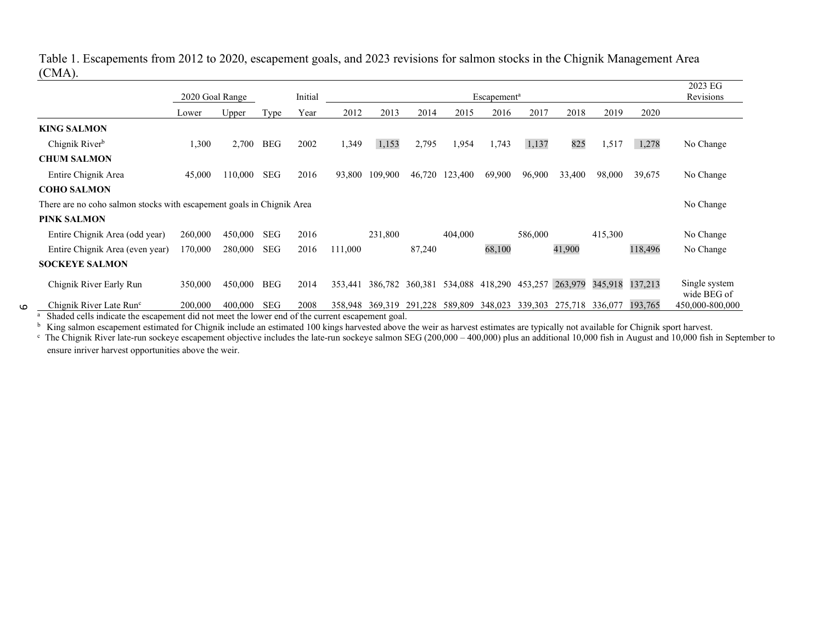#### Table 1. Escapements from 2012 to 2020, escapement goals, and 2023 revisions for salmon stocks in the Chignik Management Area (CMA).

|                                                                            | 2020 Goal Range                                                       |                                |            | Initial                  | <b>Escapement</b> <sup>a</sup> |         |         |         |         |         |           |         |         | 2023 EG<br>Revisions         |
|----------------------------------------------------------------------------|-----------------------------------------------------------------------|--------------------------------|------------|--------------------------|--------------------------------|---------|---------|---------|---------|---------|-----------|---------|---------|------------------------------|
|                                                                            | Lower                                                                 | Upper                          | Type       | Year                     | 2012                           | 2013    | 2014    | 2015    | 2016    | 2017    | 2018      | 2019    | 2020    |                              |
| <b>KING SALMON</b>                                                         |                                                                       |                                |            |                          |                                |         |         |         |         |         |           |         |         |                              |
| Chignik River <sup>b</sup>                                                 | 1,300                                                                 | 2,700                          | <b>BEG</b> | 2002                     | 1,349                          | 1,153   | 2,795   | 1,954   | 1,743   | 1,137   | 825       | 1,517   | 1,278   | No Change                    |
| <b>CHUM SALMON</b>                                                         |                                                                       |                                |            |                          |                                |         |         |         |         |         |           |         |         |                              |
| Entire Chignik Area                                                        | 45,000                                                                | 110,000                        | SEG        | 2016                     | 93,800                         | 109,900 | 46,720  | 123,400 | 69,900  | 96,900  | 33,400    | 98,000  | 39,675  | No Change                    |
| <b>COHO SALMON</b>                                                         |                                                                       |                                |            |                          |                                |         |         |         |         |         |           |         |         |                              |
|                                                                            | There are no coho salmon stocks with escapement goals in Chignik Area |                                |            |                          |                                |         |         |         |         |         | No Change |         |         |                              |
| PINK SALMON                                                                |                                                                       |                                |            |                          |                                |         |         |         |         |         |           |         |         |                              |
| Entire Chignik Area (odd year)                                             | 260,000                                                               | 450,000                        | SEG        | 2016                     |                                | 231,800 |         | 404,000 |         | 586,000 |           | 415,300 |         | No Change                    |
| Entire Chignik Area (even year)                                            | 170,000                                                               | 280,000                        | <b>SEG</b> | 2016                     | 111,000                        |         | 87,240  |         | 68,100  |         | 41,900    |         | 118,496 | No Change                    |
| <b>SOCKEYE SALMON</b>                                                      |                                                                       |                                |            |                          |                                |         |         |         |         |         |           |         |         |                              |
| Chignik River Early Run                                                    | 350,000                                                               | 450,000                        | <b>BEG</b> | 2014                     | 353,441                        | 386,782 | 360,381 | 534,088 | 418,290 | 453,257 | 263,979   | 345,918 | 137,213 | Single system<br>wide BEG of |
| Chignik River Late Run <sup>c</sup><br>$-0.1$ $-1$ $-11$ $-11$ $-11$ $-11$ | 200,000                                                               | 400,000<br>$\cdot$ $\cdot$ 1 1 | <b>SEG</b> | 2008<br>$\sim$ $\cdot$ 1 | 358,948                        | 369,319 | 291,228 | 589,809 | 348,023 | 339,303 | 275,718   | 336,077 | 193,765 | 450,000-800,000              |

<sup>a</sup> Shaded cells indicate the escapement did not meet the lower end of the current escapement goal.

 $\circ$ 

<sup>b</sup> King salmon escapement estimated for Chignik include an estimated 100 kings harvested above the weir as harvest estimates are typically not available for Chignik sport harvest.

 $\degree$  The Chignik River late-run sockeye escapement objective includes the late-run sockeye salmon SEG (200,000 – 400,000) plus an additional 10,000 fish in August and 10,000 fish in September to ensure inriver harvest opportunities above the weir.